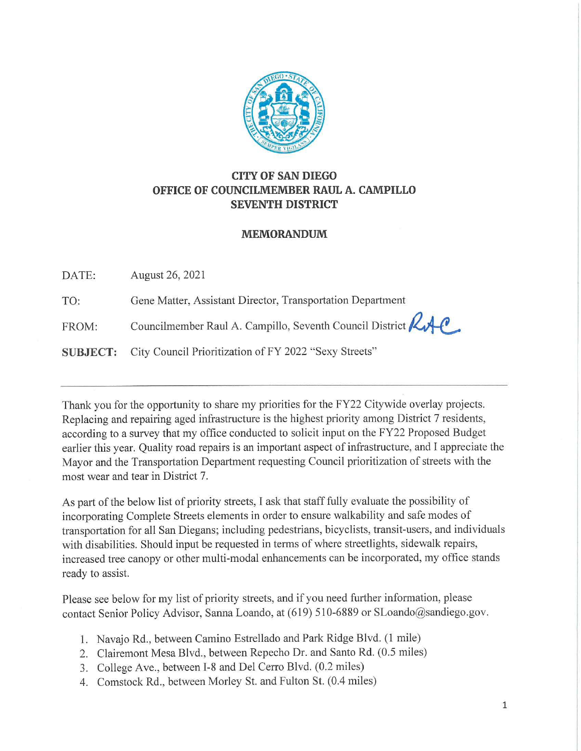

## **CITY OF SAN DIEGO OFFICE OF COUNCILMEMBER RAUL A. CAMPILLO SEVENTH DISTRICT**

## **MEMORANDUM**

DATE: August 26, 2021

TO: Gene Matter, Assistant Director, Transportation Department

FROM: Councilmember Raul A. Campillo, Seventh Council District **KAP** 

**SUBJECT:** City Council Prioritization of FY 2022 "Sexy Streets"

Thank you for the opportunity to share my priorities for the FY22 Citywide overlay projects. Replacing and repairing aged infrastructure is the highest priority among District 7 residents, according to a survey that my office conducted to solicit input on the FY22 Proposed Budget earlier this year. Quality road repairs is an important aspect of infrastructure, and I appreciate the Mayor and the Transportation Department requesting Council prioritization of streets with the most wear and tear in District 7.

As part of the below list of priority streets, I ask that staff fully evaluate the possibility of incorporating Complete Streets elements in order to ensure walkability and safe modes of transportation for all San Diegans; including pedestrians, bicyclists, transit-users, and individuals with disabilities. Should input be requested in terms of where streetlights, sidewalk repairs, increased tree canopy or other multi-modal enhancements can be incorporated, my office stands ready to assist.

Please see below for my list of priority streets, and if you need further information, please contact Senior Policy Advisor, Sanna Loando, at (619) 510-6889 or SLoando@sandiego.gov.

- 1. Navajo Rd., between Camino Estrellado and Park Ridge Blvd. (1 mile)
- 2. Clairemont Mesa Blvd., between Repecho Dr. and Santo Rd. (0.5 miles)
- 3. College Ave., between 1-8 and Del Cerro Blvd. (0.2 miles)
- 4. Comstock Rd., between Morley St. and Fulton St. (0.4 miles)